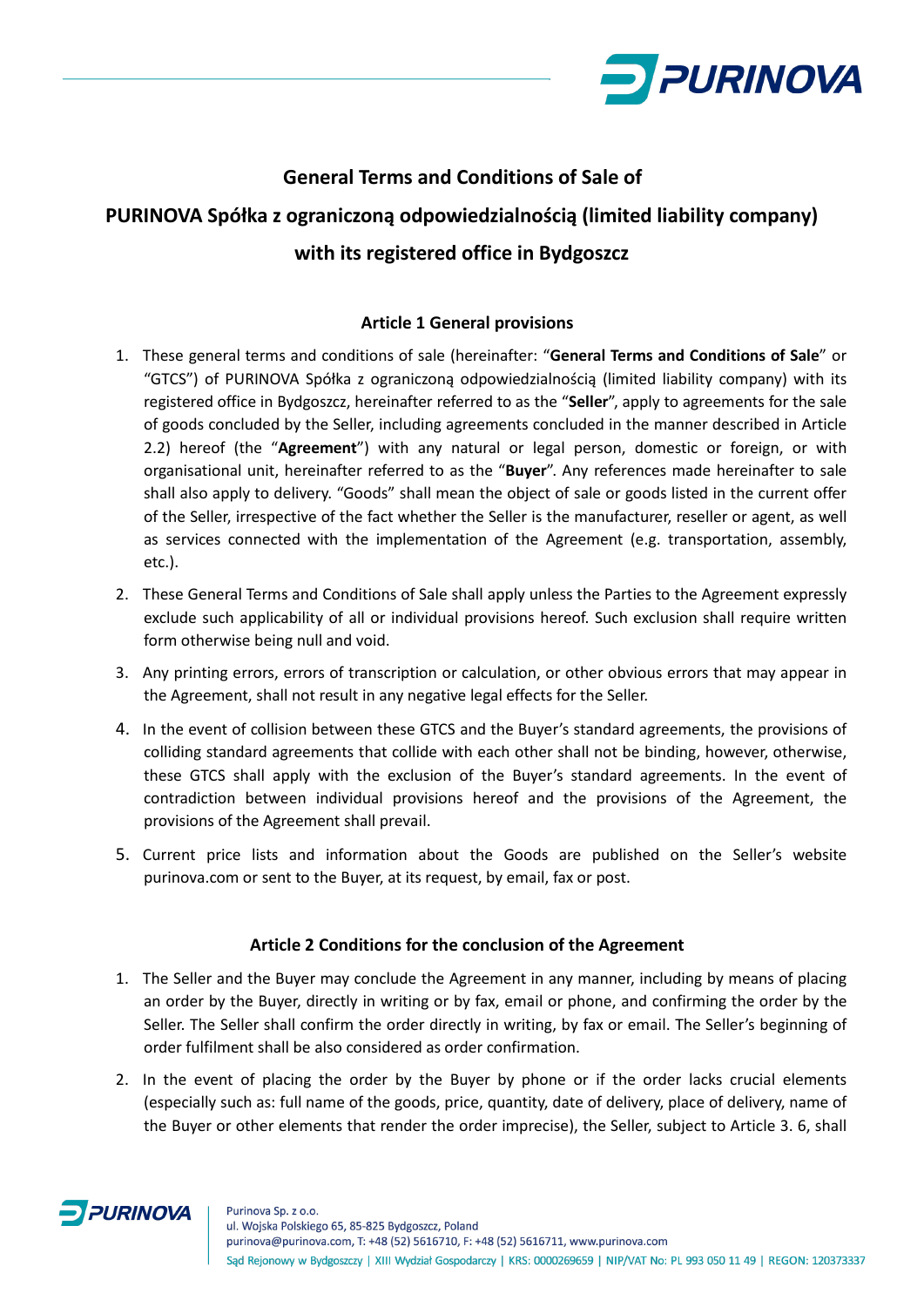

# **General Terms and Conditions of Sale of PURINOVA Spółka z ograniczoną odpowiedzialnością (limited liability company) with its registered office in Bydgoszcz**

## **Article 1 General provisions**

- 1. These general terms and conditions of sale (hereinafter: "**General Terms and Conditions of Sale**" or "GTCS") of PURINOVA Spółka z ograniczoną odpowiedzialnością (limited liability company) with its registered office in Bydgoszcz, hereinafter referred to as the "**Seller**", apply to agreements for the sale of goods concluded by the Seller, including agreements concluded in the manner described in Article 2.2) hereof (the "**Agreement**") with any natural or legal person, domestic or foreign, or with organisational unit, hereinafter referred to as the "**Buyer**". Any references made hereinafter to sale shall also apply to delivery. "Goods" shall mean the object of sale or goods listed in the current offer of the Seller, irrespective of the fact whether the Seller is the manufacturer, reseller or agent, as well as services connected with the implementation of the Agreement (e.g. transportation, assembly, etc.).
- 2. These General Terms and Conditions of Sale shall apply unless the Parties to the Agreement expressly exclude such applicability of all or individual provisions hereof. Such exclusion shall require written form otherwise being null and void.
- 3. Any printing errors, errors of transcription or calculation, or other obvious errors that may appear in the Agreement, shall not result in any negative legal effects for the Seller.
- 4. In the event of collision between these GTCS and the Buyer's standard agreements, the provisions of colliding standard agreements that collide with each other shall not be binding, however, otherwise, these GTCS shall apply with the exclusion of the Buyer's standard agreements. In the event of contradiction between individual provisions hereof and the provisions of the Agreement, the provisions of the Agreement shall prevail.
- 5. Current price lists and information about the Goods are published on the Seller's website purinova.com or sent to the Buyer, at its request, by email, fax or post.

## **Article 2 Conditions for the conclusion of the Agreement**

- 1. The Seller and the Buyer may conclude the Agreement in any manner, including by means of placing an order by the Buyer, directly in writing or by fax, email or phone, and confirming the order by the Seller. The Seller shall confirm the order directly in writing, by fax or email. The Seller's beginning of order fulfilment shall be also considered as order confirmation.
- 2. In the event of placing the order by the Buyer by phone or if the order lacks crucial elements (especially such as: full name of the goods, price, quantity, date of delivery, place of delivery, name of the Buyer or other elements that render the order imprecise), the Seller, subject to Article 3. 6, shall

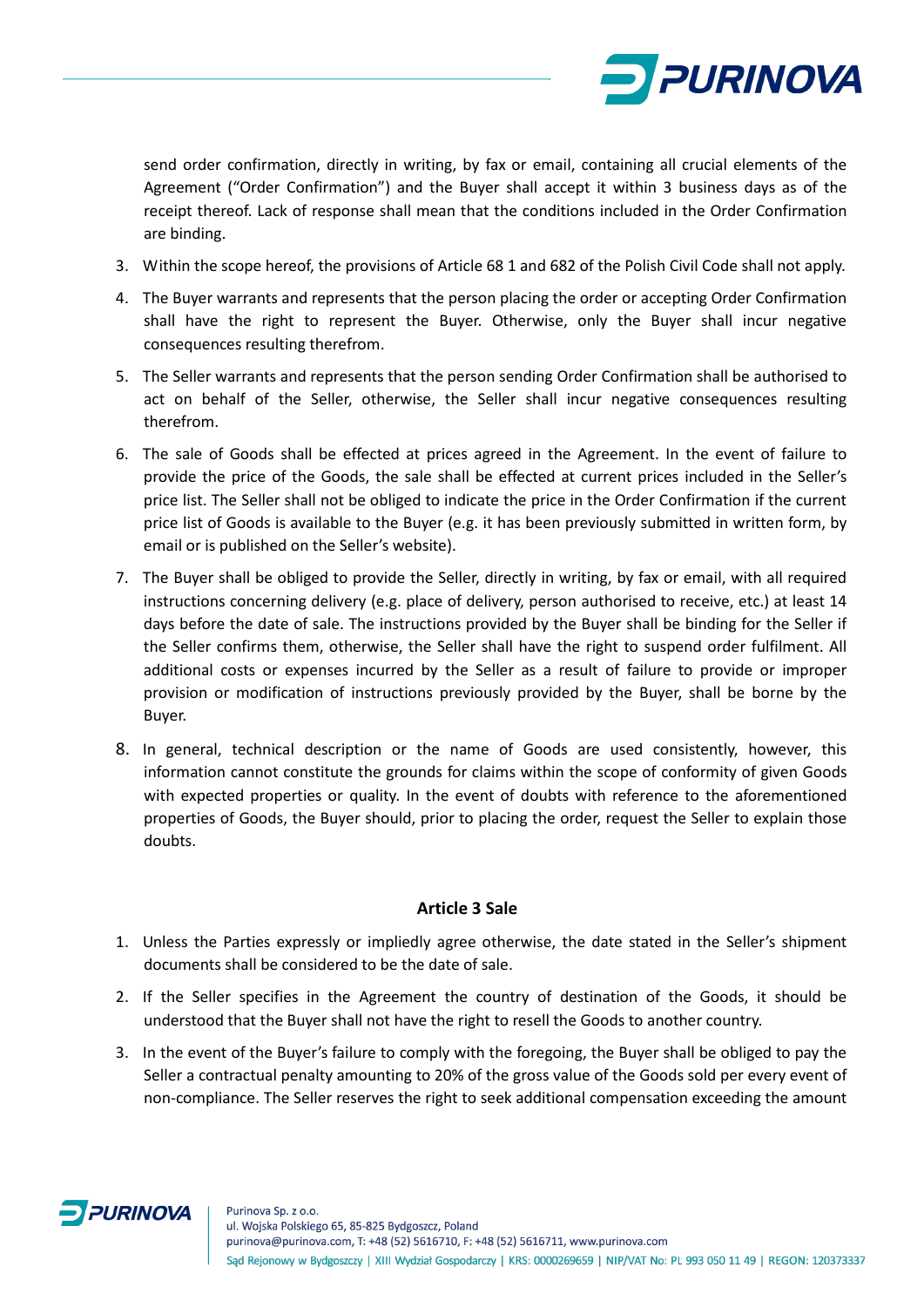

send order confirmation, directly in writing, by fax or email, containing all crucial elements of the Agreement ("Order Confirmation") and the Buyer shall accept it within 3 business days as of the receipt thereof. Lack of response shall mean that the conditions included in the Order Confirmation are binding.

- 3. Within the scope hereof, the provisions of Article 68 1 and 682 of the Polish Civil Code shall not apply.
- 4. The Buyer warrants and represents that the person placing the order or accepting Order Confirmation shall have the right to represent the Buyer. Otherwise, only the Buyer shall incur negative consequences resulting therefrom.
- 5. The Seller warrants and represents that the person sending Order Confirmation shall be authorised to act on behalf of the Seller, otherwise, the Seller shall incur negative consequences resulting therefrom.
- 6. The sale of Goods shall be effected at prices agreed in the Agreement. In the event of failure to provide the price of the Goods, the sale shall be effected at current prices included in the Seller's price list. The Seller shall not be obliged to indicate the price in the Order Confirmation if the current price list of Goods is available to the Buyer (e.g. it has been previously submitted in written form, by email or is published on the Seller's website).
- 7. The Buyer shall be obliged to provide the Seller, directly in writing, by fax or email, with all required instructions concerning delivery (e.g. place of delivery, person authorised to receive, etc.) at least 14 days before the date of sale. The instructions provided by the Buyer shall be binding for the Seller if the Seller confirms them, otherwise, the Seller shall have the right to suspend order fulfilment. All additional costs or expenses incurred by the Seller as a result of failure to provide or improper provision or modification of instructions previously provided by the Buyer, shall be borne by the Buyer.
- 8. In general, technical description or the name of Goods are used consistently, however, this information cannot constitute the grounds for claims within the scope of conformity of given Goods with expected properties or quality. In the event of doubts with reference to the aforementioned properties of Goods, the Buyer should, prior to placing the order, request the Seller to explain those doubts.

## **Article 3 Sale**

- 1. Unless the Parties expressly or impliedly agree otherwise, the date stated in the Seller's shipment documents shall be considered to be the date of sale.
- 2. If the Seller specifies in the Agreement the country of destination of the Goods, it should be understood that the Buyer shall not have the right to resell the Goods to another country.
- 3. In the event of the Buyer's failure to comply with the foregoing, the Buyer shall be obliged to pay the Seller a contractual penalty amounting to 20% of the gross value of the Goods sold per every event of non-compliance. The Seller reserves the right to seek additional compensation exceeding the amount

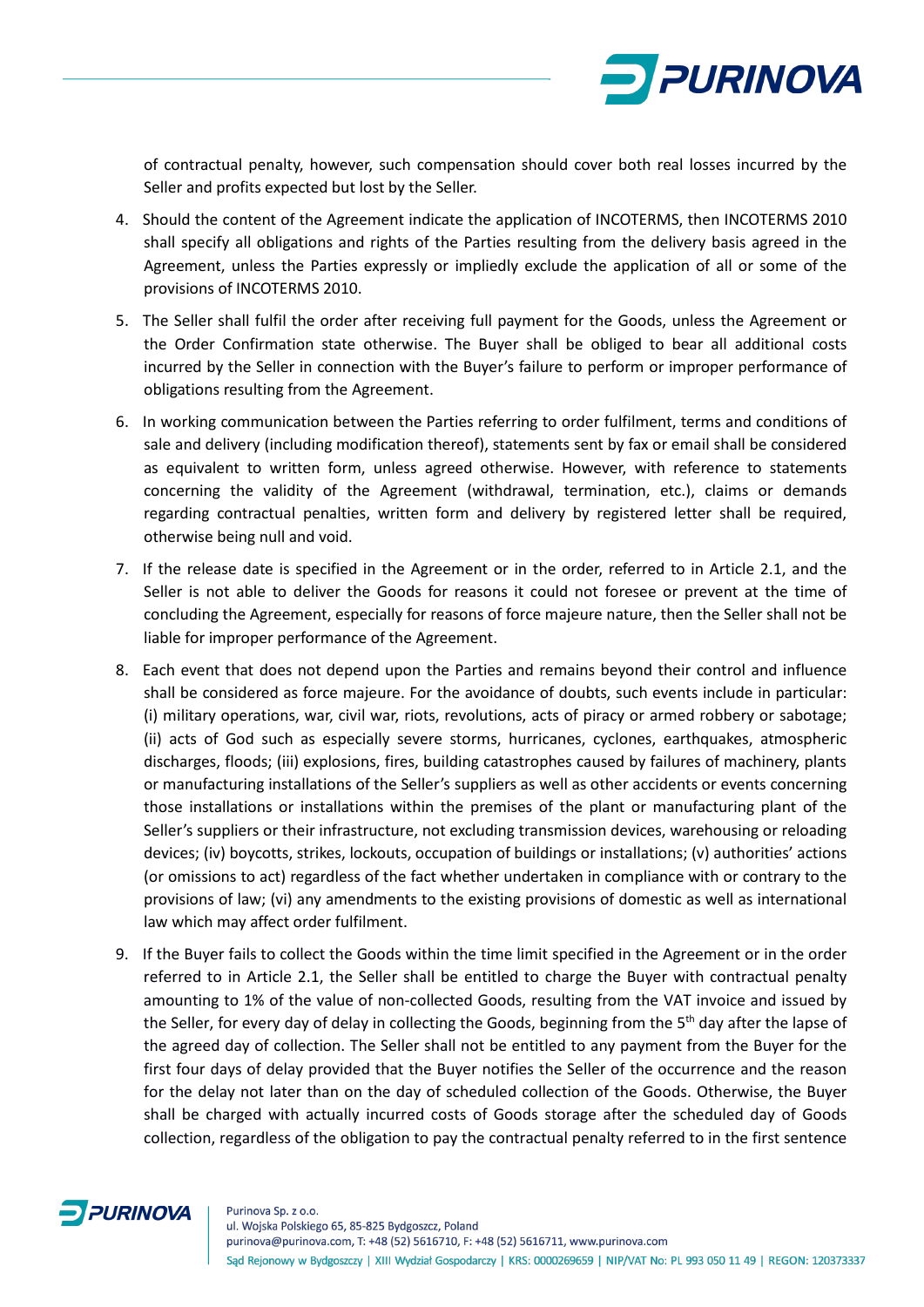

of contractual penalty, however, such compensation should cover both real losses incurred by the Seller and profits expected but lost by the Seller.

- 4. Should the content of the Agreement indicate the application of INCOTERMS, then INCOTERMS 2010 shall specify all obligations and rights of the Parties resulting from the delivery basis agreed in the Agreement, unless the Parties expressly or impliedly exclude the application of all or some of the provisions of INCOTERMS 2010.
- 5. The Seller shall fulfil the order after receiving full payment for the Goods, unless the Agreement or the Order Confirmation state otherwise. The Buyer shall be obliged to bear all additional costs incurred by the Seller in connection with the Buyer's failure to perform or improper performance of obligations resulting from the Agreement.
- 6. In working communication between the Parties referring to order fulfilment, terms and conditions of sale and delivery (including modification thereof), statements sent by fax or email shall be considered as equivalent to written form, unless agreed otherwise. However, with reference to statements concerning the validity of the Agreement (withdrawal, termination, etc.), claims or demands regarding contractual penalties, written form and delivery by registered letter shall be required, otherwise being null and void.
- 7. If the release date is specified in the Agreement or in the order, referred to in Article 2.1, and the Seller is not able to deliver the Goods for reasons it could not foresee or prevent at the time of concluding the Agreement, especially for reasons of force majeure nature, then the Seller shall not be liable for improper performance of the Agreement.
- 8. Each event that does not depend upon the Parties and remains beyond their control and influence shall be considered as force majeure. For the avoidance of doubts, such events include in particular: (i) military operations, war, civil war, riots, revolutions, acts of piracy or armed robbery or sabotage; (ii) acts of God such as especially severe storms, hurricanes, cyclones, earthquakes, atmospheric discharges, floods; (iii) explosions, fires, building catastrophes caused by failures of machinery, plants or manufacturing installations of the Seller's suppliers as well as other accidents or events concerning those installations or installations within the premises of the plant or manufacturing plant of the Seller's suppliers or their infrastructure, not excluding transmission devices, warehousing or reloading devices; (iv) boycotts, strikes, lockouts, occupation of buildings or installations; (v) authorities' actions (or omissions to act) regardless of the fact whether undertaken in compliance with or contrary to the provisions of law; (vi) any amendments to the existing provisions of domestic as well as international law which may affect order fulfilment.
- 9. If the Buyer fails to collect the Goods within the time limit specified in the Agreement or in the order referred to in Article 2.1, the Seller shall be entitled to charge the Buyer with contractual penalty amounting to 1% of the value of non-collected Goods, resulting from the VAT invoice and issued by the Seller, for every day of delay in collecting the Goods, beginning from the 5<sup>th</sup> day after the lapse of the agreed day of collection. The Seller shall not be entitled to any payment from the Buyer for the first four days of delay provided that the Buyer notifies the Seller of the occurrence and the reason for the delay not later than on the day of scheduled collection of the Goods. Otherwise, the Buyer shall be charged with actually incurred costs of Goods storage after the scheduled day of Goods collection, regardless of the obligation to pay the contractual penalty referred to in the first sentence

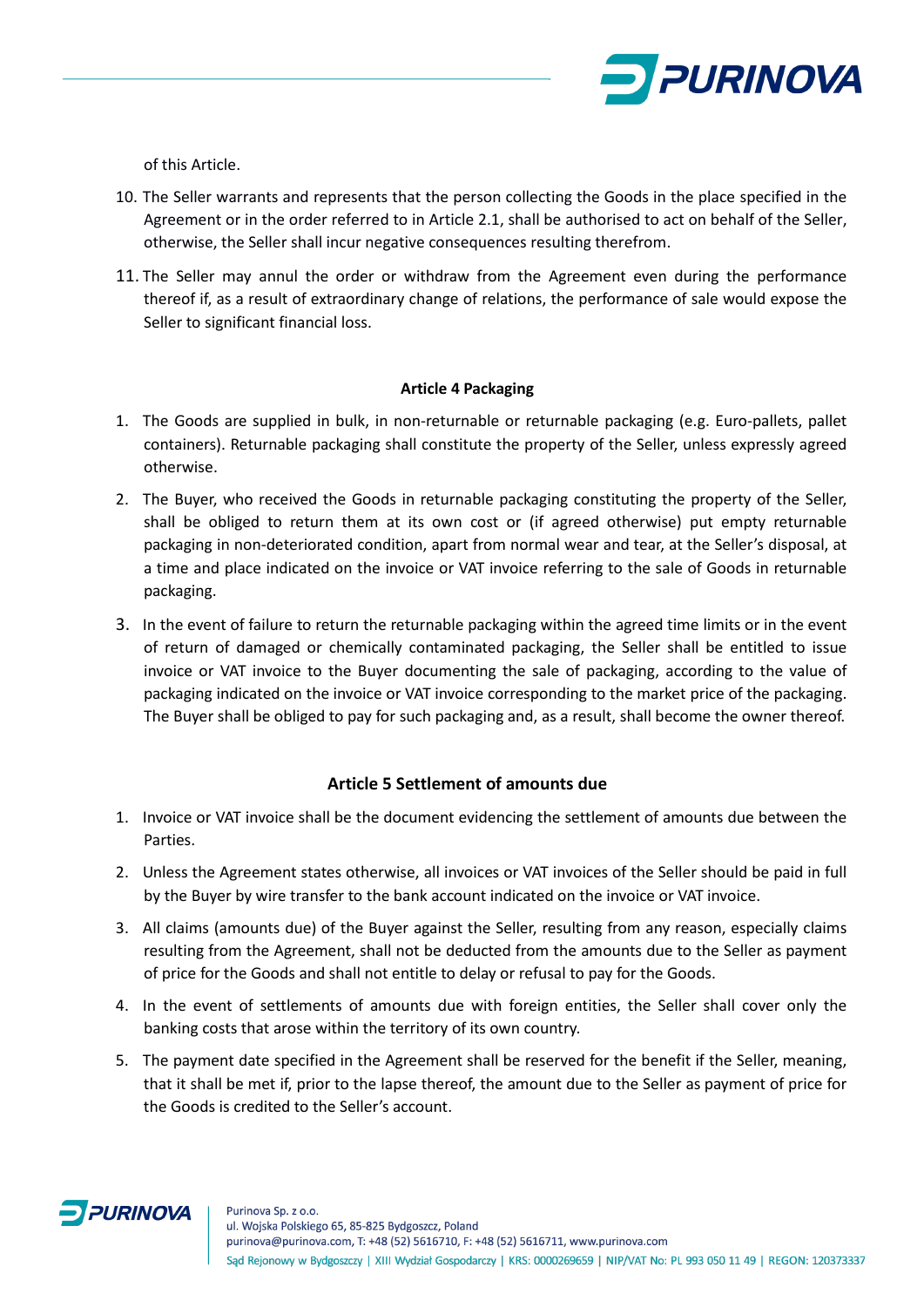

of this Article.

- 10. The Seller warrants and represents that the person collecting the Goods in the place specified in the Agreement or in the order referred to in Article 2.1, shall be authorised to act on behalf of the Seller, otherwise, the Seller shall incur negative consequences resulting therefrom.
- 11. The Seller may annul the order or withdraw from the Agreement even during the performance thereof if, as a result of extraordinary change of relations, the performance of sale would expose the Seller to significant financial loss.

#### **Article 4 Packaging**

- 1. The Goods are supplied in bulk, in non-returnable or returnable packaging (e.g. Euro-pallets, pallet containers). Returnable packaging shall constitute the property of the Seller, unless expressly agreed otherwise.
- 2. The Buyer, who received the Goods in returnable packaging constituting the property of the Seller, shall be obliged to return them at its own cost or (if agreed otherwise) put empty returnable packaging in non-deteriorated condition, apart from normal wear and tear, at the Seller's disposal, at a time and place indicated on the invoice or VAT invoice referring to the sale of Goods in returnable packaging.
- 3. In the event of failure to return the returnable packaging within the agreed time limits or in the event of return of damaged or chemically contaminated packaging, the Seller shall be entitled to issue invoice or VAT invoice to the Buyer documenting the sale of packaging, according to the value of packaging indicated on the invoice or VAT invoice corresponding to the market price of the packaging. The Buyer shall be obliged to pay for such packaging and, as a result, shall become the owner thereof.

## **Article 5 Settlement of amounts due**

- 1. Invoice or VAT invoice shall be the document evidencing the settlement of amounts due between the Parties.
- 2. Unless the Agreement states otherwise, all invoices or VAT invoices of the Seller should be paid in full by the Buyer by wire transfer to the bank account indicated on the invoice or VAT invoice.
- 3. All claims (amounts due) of the Buyer against the Seller, resulting from any reason, especially claims resulting from the Agreement, shall not be deducted from the amounts due to the Seller as payment of price for the Goods and shall not entitle to delay or refusal to pay for the Goods.
- 4. In the event of settlements of amounts due with foreign entities, the Seller shall cover only the banking costs that arose within the territory of its own country.
- 5. The payment date specified in the Agreement shall be reserved for the benefit if the Seller, meaning, that it shall be met if, prior to the lapse thereof, the amount due to the Seller as payment of price for the Goods is credited to the Seller's account.

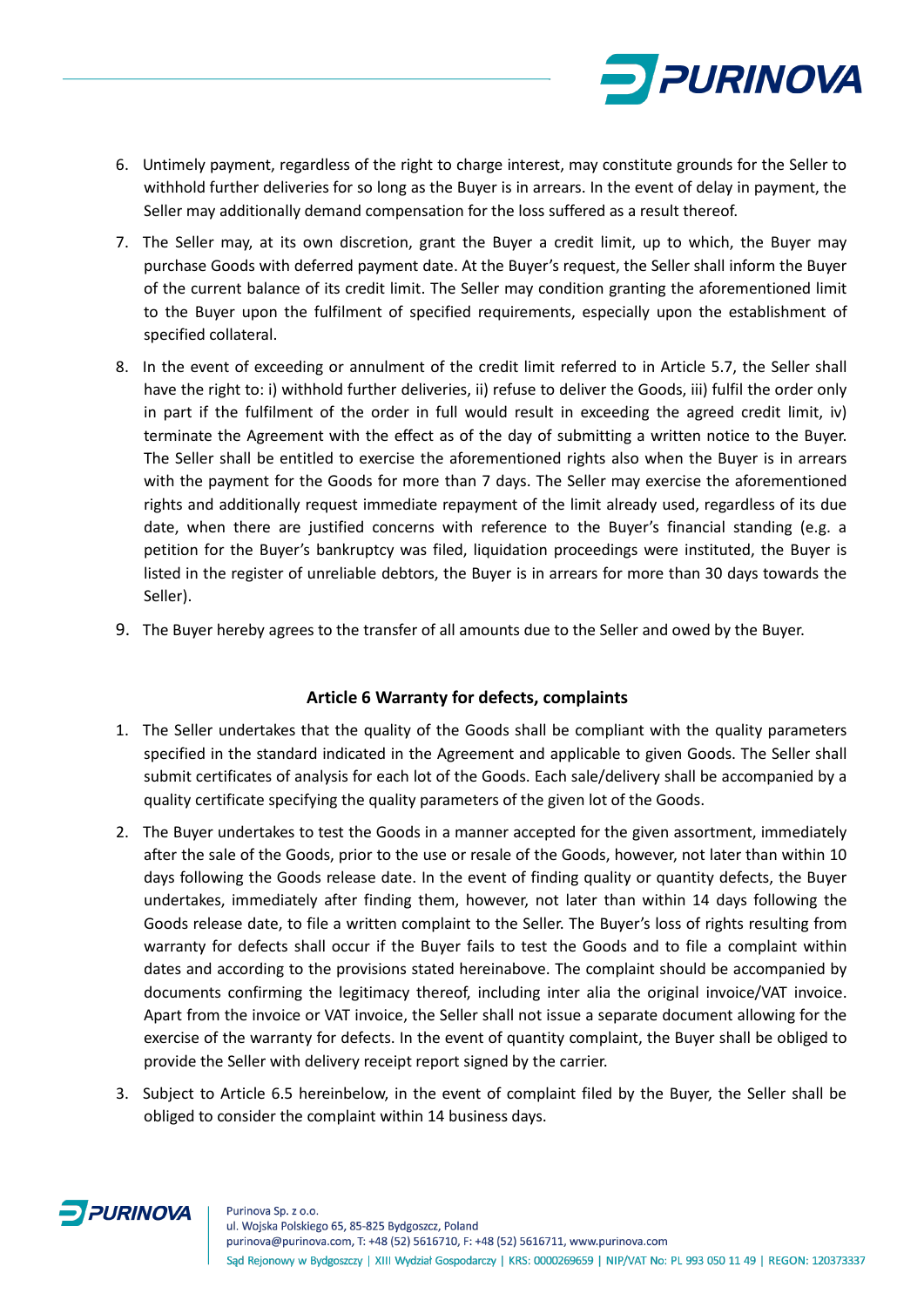

- 6. Untimely payment, regardless of the right to charge interest, may constitute grounds for the Seller to withhold further deliveries for so long as the Buyer is in arrears. In the event of delay in payment, the Seller may additionally demand compensation for the loss suffered as a result thereof.
- 7. The Seller may, at its own discretion, grant the Buyer a credit limit, up to which, the Buyer may purchase Goods with deferred payment date. At the Buyer's request, the Seller shall inform the Buyer of the current balance of its credit limit. The Seller may condition granting the aforementioned limit to the Buyer upon the fulfilment of specified requirements, especially upon the establishment of specified collateral.
- 8. In the event of exceeding or annulment of the credit limit referred to in Article 5.7, the Seller shall have the right to: i) withhold further deliveries, ii) refuse to deliver the Goods, iii) fulfil the order only in part if the fulfilment of the order in full would result in exceeding the agreed credit limit, iv) terminate the Agreement with the effect as of the day of submitting a written notice to the Buyer. The Seller shall be entitled to exercise the aforementioned rights also when the Buyer is in arrears with the payment for the Goods for more than 7 days. The Seller may exercise the aforementioned rights and additionally request immediate repayment of the limit already used, regardless of its due date, when there are justified concerns with reference to the Buyer's financial standing (e.g. a petition for the Buyer's bankruptcy was filed, liquidation proceedings were instituted, the Buyer is listed in the register of unreliable debtors, the Buyer is in arrears for more than 30 days towards the Seller).
- 9. The Buyer hereby agrees to the transfer of all amounts due to the Seller and owed by the Buyer.

## **Article 6 Warranty for defects, complaints**

- 1. The Seller undertakes that the quality of the Goods shall be compliant with the quality parameters specified in the standard indicated in the Agreement and applicable to given Goods. The Seller shall submit certificates of analysis for each lot of the Goods. Each sale/delivery shall be accompanied by a quality certificate specifying the quality parameters of the given lot of the Goods.
- 2. The Buyer undertakes to test the Goods in a manner accepted for the given assortment, immediately after the sale of the Goods, prior to the use or resale of the Goods, however, not later than within 10 days following the Goods release date. In the event of finding quality or quantity defects, the Buyer undertakes, immediately after finding them, however, not later than within 14 days following the Goods release date, to file a written complaint to the Seller. The Buyer's loss of rights resulting from warranty for defects shall occur if the Buyer fails to test the Goods and to file a complaint within dates and according to the provisions stated hereinabove. The complaint should be accompanied by documents confirming the legitimacy thereof, including inter alia the original invoice/VAT invoice. Apart from the invoice or VAT invoice, the Seller shall not issue a separate document allowing for the exercise of the warranty for defects. In the event of quantity complaint, the Buyer shall be obliged to provide the Seller with delivery receipt report signed by the carrier.
- 3. Subject to Article 6.5 hereinbelow, in the event of complaint filed by the Buyer, the Seller shall be obliged to consider the complaint within 14 business days.

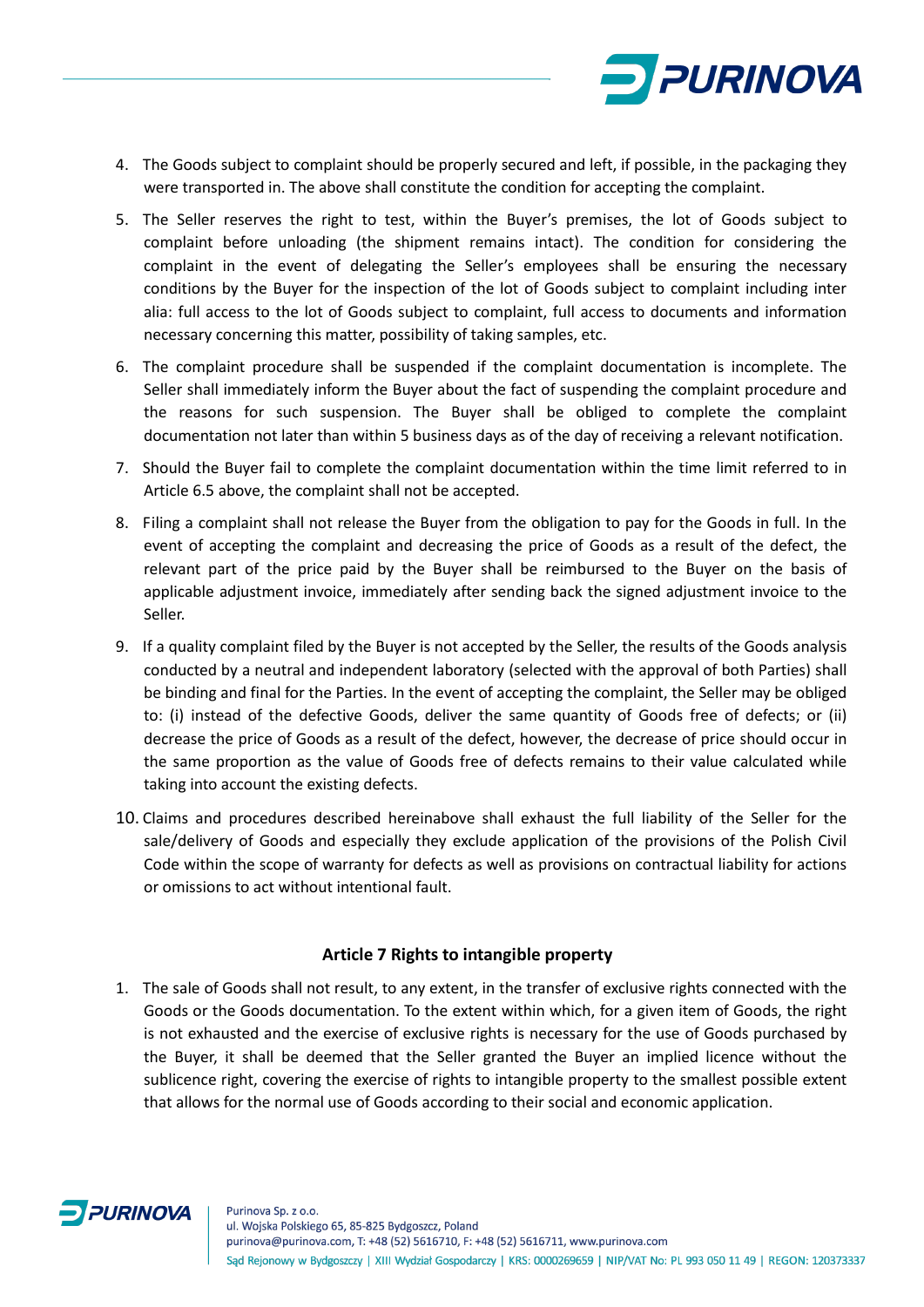

- 4. The Goods subject to complaint should be properly secured and left, if possible, in the packaging they were transported in. The above shall constitute the condition for accepting the complaint.
- 5. The Seller reserves the right to test, within the Buyer's premises, the lot of Goods subject to complaint before unloading (the shipment remains intact). The condition for considering the complaint in the event of delegating the Seller's employees shall be ensuring the necessary conditions by the Buyer for the inspection of the lot of Goods subject to complaint including inter alia: full access to the lot of Goods subject to complaint, full access to documents and information necessary concerning this matter, possibility of taking samples, etc.
- 6. The complaint procedure shall be suspended if the complaint documentation is incomplete. The Seller shall immediately inform the Buyer about the fact of suspending the complaint procedure and the reasons for such suspension. The Buyer shall be obliged to complete the complaint documentation not later than within 5 business days as of the day of receiving a relevant notification.
- 7. Should the Buyer fail to complete the complaint documentation within the time limit referred to in Article 6.5 above, the complaint shall not be accepted.
- 8. Filing a complaint shall not release the Buyer from the obligation to pay for the Goods in full. In the event of accepting the complaint and decreasing the price of Goods as a result of the defect, the relevant part of the price paid by the Buyer shall be reimbursed to the Buyer on the basis of applicable adjustment invoice, immediately after sending back the signed adjustment invoice to the Seller.
- 9. If a quality complaint filed by the Buyer is not accepted by the Seller, the results of the Goods analysis conducted by a neutral and independent laboratory (selected with the approval of both Parties) shall be binding and final for the Parties. In the event of accepting the complaint, the Seller may be obliged to: (i) instead of the defective Goods, deliver the same quantity of Goods free of defects; or (ii) decrease the price of Goods as a result of the defect, however, the decrease of price should occur in the same proportion as the value of Goods free of defects remains to their value calculated while taking into account the existing defects.
- 10. Claims and procedures described hereinabove shall exhaust the full liability of the Seller for the sale/delivery of Goods and especially they exclude application of the provisions of the Polish Civil Code within the scope of warranty for defects as well as provisions on contractual liability for actions or omissions to act without intentional fault.

#### **Article 7 Rights to intangible property**

1. The sale of Goods shall not result, to any extent, in the transfer of exclusive rights connected with the Goods or the Goods documentation. To the extent within which, for a given item of Goods, the right is not exhausted and the exercise of exclusive rights is necessary for the use of Goods purchased by the Buyer, it shall be deemed that the Seller granted the Buyer an implied licence without the sublicence right, covering the exercise of rights to intangible property to the smallest possible extent that allows for the normal use of Goods according to their social and economic application.

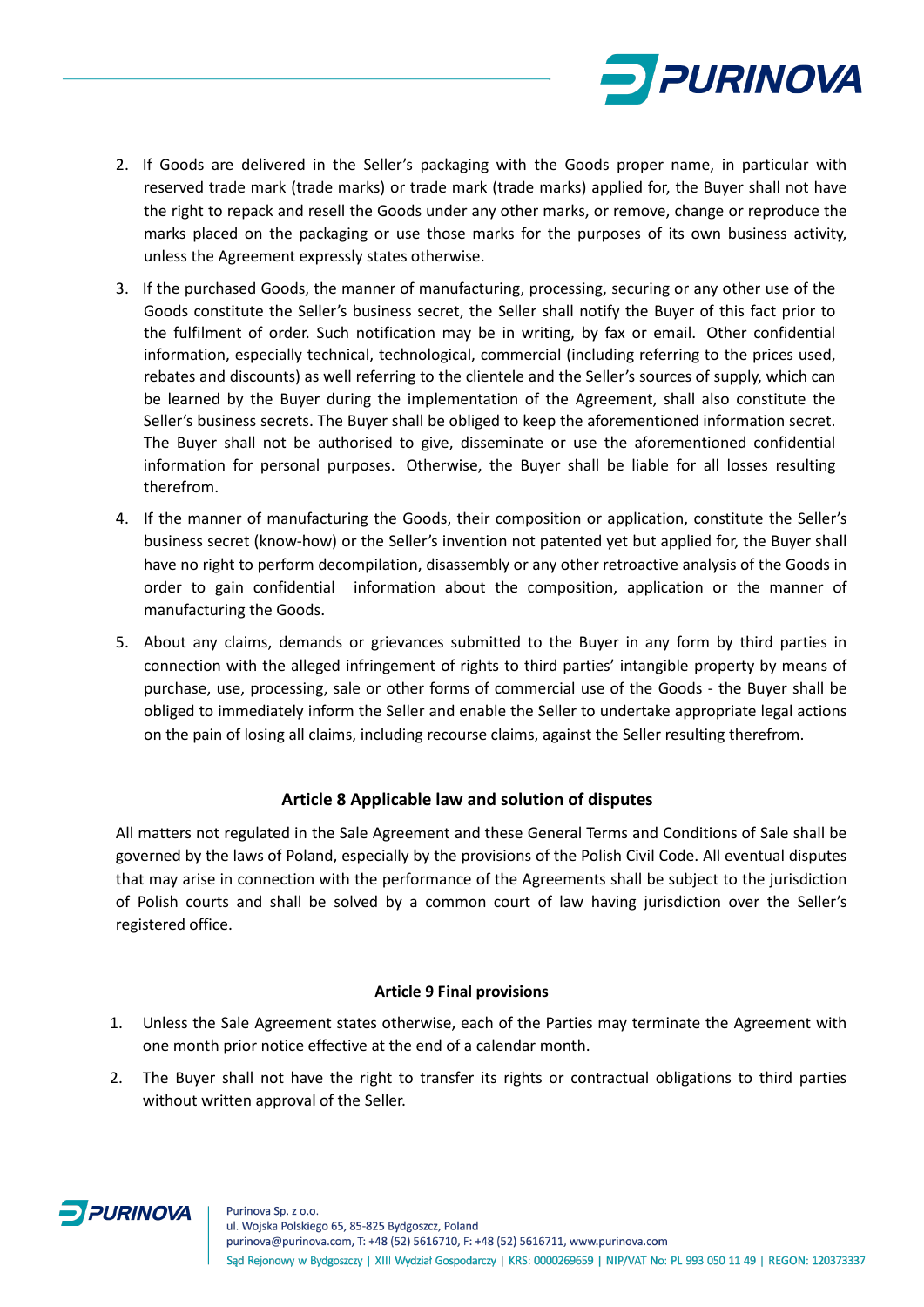

- 2. If Goods are delivered in the Seller's packaging with the Goods proper name, in particular with reserved trade mark (trade marks) or trade mark (trade marks) applied for, the Buyer shall not have the right to repack and resell the Goods under any other marks, or remove, change or reproduce the marks placed on the packaging or use those marks for the purposes of its own business activity, unless the Agreement expressly states otherwise.
- 3. If the purchased Goods, the manner of manufacturing, processing, securing or any other use of the Goods constitute the Seller's business secret, the Seller shall notify the Buyer of this fact prior to the fulfilment of order. Such notification may be in writing, by fax or email. Other confidential information, especially technical, technological, commercial (including referring to the prices used, rebates and discounts) as well referring to the clientele and the Seller's sources of supply, which can be learned by the Buyer during the implementation of the Agreement, shall also constitute the Seller's business secrets. The Buyer shall be obliged to keep the aforementioned information secret. The Buyer shall not be authorised to give, disseminate or use the aforementioned confidential information for personal purposes. Otherwise, the Buyer shall be liable for all losses resulting therefrom.
- 4. If the manner of manufacturing the Goods, their composition or application, constitute the Seller's business secret (know-how) or the Seller's invention not patented yet but applied for, the Buyer shall have no right to perform decompilation, disassembly or any other retroactive analysis of the Goods in order to gain confidential information about the composition, application or the manner of manufacturing the Goods.
- 5. About any claims, demands or grievances submitted to the Buyer in any form by third parties in connection with the alleged infringement of rights to third parties' intangible property by means of purchase, use, processing, sale or other forms of commercial use of the Goods - the Buyer shall be obliged to immediately inform the Seller and enable the Seller to undertake appropriate legal actions on the pain of losing all claims, including recourse claims, against the Seller resulting therefrom.

## **Article 8 Applicable law and solution of disputes**

All matters not regulated in the Sale Agreement and these General Terms and Conditions of Sale shall be governed by the laws of Poland, especially by the provisions of the Polish Civil Code. All eventual disputes that may arise in connection with the performance of the Agreements shall be subject to the jurisdiction of Polish courts and shall be solved by a common court of law having jurisdiction over the Seller's registered office.

#### **Article 9 Final provisions**

- 1. Unless the Sale Agreement states otherwise, each of the Parties may terminate the Agreement with one month prior notice effective at the end of a calendar month.
- 2. The Buyer shall not have the right to transfer its rights or contractual obligations to third parties without written approval of the Seller.